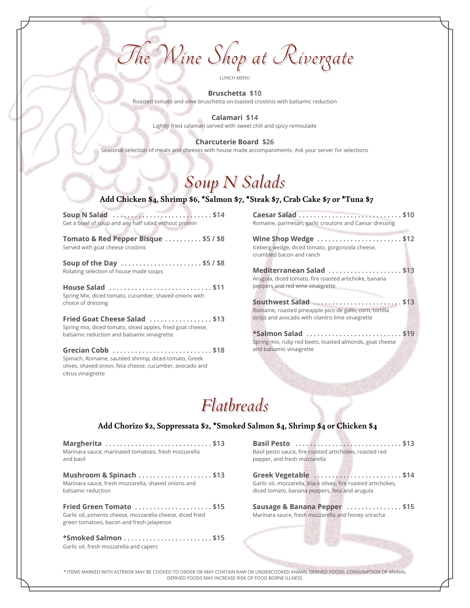The Wine Shop at Rivergate

LUNCH MENU

**Bruschetta \$10** Roasted tomato and olive bruschetta on toasted crostinis with balsamic reduction

> **Calamari \$14** Lightly fried calamari served with sweet chili and spicy remoulade

**Charcuterie Board \$26** Seasonal selection of meats and cheeses with house made accompaniments. Ask your server for selections

## *Soup N Salads*

#### **Add Chicken \$4, Shrimp \$6, \*Salmon \$7, \*Steak \$7, Crab Cake \$7 or \*Tuna \$7**

**Soup N Salad . . . . . . . . . . . . . . . . . . . . . . . . . . . \$14** Get a bowl of soup and any half salad without protein

**Tomato & Red Pepper Bisque . . . . . . . . . . \$5 / \$8** Served with goat cheese crostinis

**Soup of the Day . . . . . . . . . . . . . . . . . . . . . . \$5 / \$8** Rotating selection of house made soups **Mediterranean Salad . . . . . . . . . . . . . . . . . . . . \$13**

peppers and red wine vinaigrette **House Salad . . . . . . . . . . . . . . . . . . . . . . . . . . . . \$11** Spring Mix, diced tomato, cucumber, shaved onions with choice of dressing **Southwest Salad . . . . . . . . . . . . . . . . . . . . . . . . \$13**

strips and avocado with cilantro lime vinaigrette **Fried Goat Cheese Salad . . . . . . . . . . . . . . . . . \$13** Spring mix, diced tomato, sliced apples, fried goat cheese,

Grecian Cobb  $\ldots$ ........................\$18 and balsamic vinaigrette Spinach, Romaine, sautéed shrimp, diced tomato, Greek olives, shaved onion, feta cheese, cucumber, avocado and citrus vinaigrette

**Caesar Salad . . . . . . . . . . . . . . . . . . . . . . . . . . . . \$10** Romaine, parmesan, garlic croutons and Caesar dressing

**Wine Shop Wedge . . . . . . . . . . . . . . . . . . . . . . . \$12** Iceberg wedge, diced tomato, gorgonzola cheese, crumbled bacon and ranch

Arugula, diced tomato, fire roasted artichoke, banana

Romaine, roasted pineapple pico de gallo, corn, tortilla

balsamic reduction and balsamic vinaigrette **\*Salmon Salad . . . . . . . . . . . . . . . . . . . . . . . . . . \$19** Spring mix, ruby red beets, toasted almonds, goat cheese

## *Flatbreads*

### **Add Chorizo \$2, Soppressata \$2, \*Smoked Salmon \$4, Shrimp \$4 or Chicken \$4**

**Margherita . . . . . . . . . . . . . . . . . . . . . . . . . . . . . \$13** Marinara sauce, marinated tomatoes, fresh mozzarella and basil

**Mushroom & Spinach . . . . . . . . . . . . . . . . . . . . \$13** Marinara sauce, fresh mozzarella, shaved onions and balsamic reduction

**Fried Green Tomato . . . . . . . . . . . . . . . . . . . . . \$15** Garlic oil, pimento cheese, mozzarella cheese, diced fried green tomatoes, bacon and fresh jalapenos

**\*Smoked Salmon . . . . . . . . . . . . . . . . . . . . . . . . \$15** Garlic oil, fresh mozzarella and capers

**Basil Pesto . . . . . . . . . . . . . . . . . . . . . . . . . . . . . \$13** Basil pesto sauce, fire roasted artichokes, roasted red pepper, and fresh mozzarella

**Greek Vegetable . . . . . . . . . . . . . . . . . . . . . . . . \$14** Garlic oil, mozzarella, black olives, fire roasted artichokes, diced tomato, banana peppers, feta and arugula

**Sausage & Banana Pepper . . . . . . . . . . . . . . . \$15** Marinara sauce, fresh mozzarella and honey sriracha

\* ITEMS MARKED WITH ASTERISK MAY BE COOKED TO ORDER OR MAY CONTAIN RAW OR UNDERCOOKED ANIMAL DERIVED FOODS. CONSUMPTION OF ANIMAL DERIVED FOODS MAY INCREASE RISK OF FOOD BORNE ILLNESS